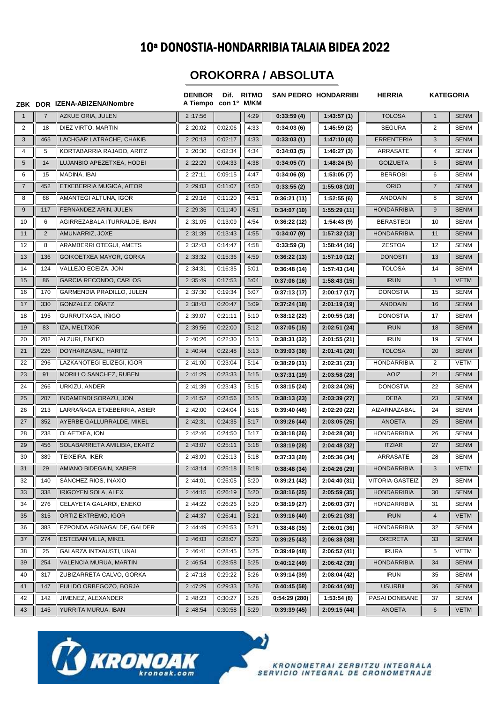## 10ª DONOSTIA-HONDARRIBIA TALAIA BIDEA 2022

## **OROKORRA / ABSOLUTA**

|                |                | ZBK DOR IZENA-ABIZENA/Nombre  | <b>DENBOR</b><br>A Tiempo con 1º M/KM |         | Dif. RITMO |              | <b>SAN PEDRO HONDARRIBI</b> | <b>HERRIA</b>      |                | <b>KATEGORIA</b> |
|----------------|----------------|-------------------------------|---------------------------------------|---------|------------|--------------|-----------------------------|--------------------|----------------|------------------|
| $\overline{1}$ | $\overline{7}$ | <b>AZKUE ORIA, JULEN</b>      | 2:17:56                               |         | 4:29       | 0:33:59(4)   | 1:43:57(1)                  | <b>TOLOSA</b>      | $\mathbf{1}$   | <b>SENM</b>      |
| 2              | 18             | DIEZ VIRTO, MARTIN            | 2:20:02                               | 0:02:06 | 4:33       | 0:34:03(6)   | 1:45:59(2)                  | <b>SEGURA</b>      | $\overline{2}$ | <b>SENM</b>      |
| $\mathbf{3}$   | 465            | LACHGAR LATRACHE, CHAKIB      | 2:20:13                               | 0:02:17 | 4:33       | 0:33:03(1)   | 1:47:10(4)                  | <b>ERRENTERIA</b>  | 3              | <b>SENM</b>      |
| 4              | 5              | KORTABARRIA RAJADO, ARITZ     | 2:20:30                               | 0:02:34 | 4:34       | 0:34:03(5)   | 1:46:27(3)                  | ARRASATE           | 4              | <b>SENM</b>      |
| 5              | 14             | LUJANBIO APEZETXEA, HODEI     | 2:22:29                               | 0:04:33 | 4:38       | 0:34:05(7)   | 1:48:24(5)                  | <b>GOIZUETA</b>    | 5              | <b>SENM</b>      |
| 6              | 15             | MADINA, IBAI                  | 2:27:11                               | 0:09:15 | 4:47       | 0:34:06(8)   | 1:53:05(7)                  | <b>BERROBI</b>     | 6              | <b>SENM</b>      |
| $\overline{7}$ | 452            | ETXEBERRIA MUGICA, AITOR      | 2:29:03                               | 0:11:07 | 4:50       | 0:33:55(2)   | 1:55:08(10)                 | <b>ORIO</b>        | $\overline{7}$ | <b>SENM</b>      |
| 8              | 68             | AMANTEGI ALTUNA, IGOR         | 2:29:16                               | 0:11:20 | 4:51       | 0:36:21(11)  | 1:52:55(6)                  | <b>ANDOAIN</b>     | 8              | <b>SENM</b>      |
| 9              | 117            | FERNANDEZ ARIN, JULEN         | 2:29:36                               | 0:11:40 | 4:51       | 0:34:07(10)  | 1:55:29(11)                 | <b>HONDARRIBIA</b> | 9              | <b>SENM</b>      |
| 10             | 6              | AGIRREZABALA ITURRALDE, IBAN  | 2:31:05                               | 0:13:09 | 4:54       | 0:36:22(12)  | 1:54:43(9)                  | <b>BERASTEGI</b>   | 10             | <b>SENM</b>      |
| 11             | $\overline{2}$ | AMUNARRIZ, JOXE               | 2:31:39                               | 0:13:43 | 4:55       | 0:34:07(9)   | 1:57:32(13)                 | <b>HONDARRIBIA</b> | 11             | <b>SENM</b>      |
| 12             | 8              | ARAMBERRI OTEGUI, AMETS       | 2:32:43                               | 0:14:47 | 4:58       | 0:33:59(3)   | 1:58:44(16)                 | <b>ZESTOA</b>      | 12             | <b>SENM</b>      |
| 13             | 136            | GOIKOETXEA MAYOR, GORKA       | 2:33:32                               | 0:15:36 | 4:59       | 0:36:22(13)  | 1:57:10(12)                 | <b>DONOSTI</b>     | 13             | <b>SENM</b>      |
| 14             | 124            | VALLEJO ECEIZA, JON           | 2:34:31                               | 0:16:35 | 5:01       | 0:36:48(14)  | 1:57:43 (14)                | <b>TOLOSA</b>      | 14             | <b>SENM</b>      |
| 15             | 86             | <b>GARCIA RECONDO, CARLOS</b> | 2:35:49                               | 0:17:53 | 5:04       | 0:37:06(16)  | 1:58:43(15)                 | <b>IRUN</b>        | $\mathbf{1}$   | <b>VETM</b>      |
| 16             | 170            | GARMENDIA PRADILLO, JULEN     | 2:37:30                               | 0:19:34 | 5:07       | 0:37:13(17)  | 2:00:17(17)                 | <b>DONOSTIA</b>    | 15             | <b>SENM</b>      |
| 17             | 330            | GONZALEZ, OÑATZ               | 2:38:43                               | 0:20:47 | 5:09       | 0:37:24(18)  | 2:01:19(19)                 | <b>ANDOAIN</b>     | 16             | <b>SENM</b>      |
| 18             | 195            | GURRUTXAGA, INIGO             | 2:39:07                               | 0:21:11 | 5:10       | 0:38:12(22)  | 2:00:55(18)                 | <b>DONOSTIA</b>    | 17             | <b>SENM</b>      |
| 19             | 83             | IZA, MELTXOR                  | 2:39:56                               | 0:22:00 | 5:12       | 0:37:05(15)  | 2:02:51(24)                 | <b>IRUN</b>        | 18             | <b>SENM</b>      |
| 20             | 202            | ALZURI, ENEKO                 | 2:40:26                               | 0:22:30 | 5:13       | 0:38:31(32)  | 2:01:55(21)                 | <b>IRUN</b>        | 19             | <b>SENM</b>      |
| 21             | 226            | DOYHARZABAL, HARITZ           | 2:40:44                               | 0:22:48 | 5:13       | 0:39:03(38)  | 2:01:41(20)                 | <b>TOLOSA</b>      | 20             | <b>SENM</b>      |
| 22             | 296            | LAZKANOTEGI ELIZEGI, IGOR     | 2:41:00                               | 0:23:04 | 5:14       | 0:38:29(31)  | 2:02:31 (23)                | <b>HONDARRIBIA</b> | 2              | <b>VETM</b>      |
| 23             | 91             | MORILLO SANCHEZ, RUBEN        | 2:41:29                               | 0:23:33 | 5:15       | 0:37:31(19)  | 2:03:58(28)                 | <b>AOIZ</b>        | 21             | <b>SENM</b>      |
| 24             | 266            | URKIZU, ANDER                 | 2:41:39                               | 0:23:43 | 5:15       | 0:38:15(24)  | 2:03:24(26)                 | <b>DONOSTIA</b>    | 22             | <b>SENM</b>      |
| 25             | 207            | INDAMENDI SORAZU, JON         | 2:41:52                               | 0:23:56 | 5:15       | 0:38:13(23)  | 2:03:39(27)                 | <b>DEBA</b>        | 23             | <b>SENM</b>      |
| 26             | 213            | LARRANAGA ETXEBERRIA, ASIER   | 2:42:00                               | 0:24:04 | 5:16       | 0:39:40(46)  | 2:02:20 (22)                | AIZARNAZABAL       | 24             | SENM             |
| 27             | 352            | AYERBE GALLURRALDE, MIKEL     | 2:42:31                               | 0:24:35 | 5:17       | 0:39:26(44)  | 2:03:05(25)                 | <b>ANOETA</b>      | 25             | <b>SENM</b>      |
| 28             | 238            | OLAETXEA, ION                 | 2:42:46                               | 0:24:50 | 5:17       | 0:38:18(26)  | 2:04:28 (30)                | <b>HONDARRIBIA</b> | 26             | <b>SENM</b>      |
| 29             | 456            | SOLABARRIETA AMILIBIA, EKAITZ | 2:43:07                               | 0:25:11 | 5:18       | 0:38:19(28)  | 2:04:48(32)                 | <b>ITZIAR</b>      | 27             | <b>SENM</b>      |
| 30             | 389            | TEIXEIRA, IKER                | 2:43:09                               | 0:25:13 | 5:18       | 0:37:33(20)  | 2:05:36 (34)                | ARRASATE           | 28             | <b>SENM</b>      |
| 31             | 29             | AMIANO BIDEGAIN, XABIER       | 2:43:14                               | 0:25:18 | 5:18       | 0:38:48(34)  | 2:04:26(29)                 | <b>HONDARRIBIA</b> | 3              | <b>VETM</b>      |
| 32             | 140            | SANCHEZ RIOS, INAXIO          | 2:44:01                               | 0:26:05 | 5:20       | 0:39:21(42)  | 2:04:40(31)                 | VITORIA-GASTEIZ    | 29             | SENM             |
| 33             | 338            | IRIGOYEN SOLA, ALEX           | 2:44:15                               | 0:26:19 | 5:20       | 0:38:16(25)  | 2:05:59(35)                 | <b>HONDARRIBIA</b> | 30             | <b>SENM</b>      |
| 34             | 276            | CELAYETA GALARDI, ENEKO       | 2:44:22                               | 0:26:26 | 5:20       | 0:38:19(27)  | 2:06:03(37)                 | <b>HONDARRIBIA</b> | 31             | <b>SENM</b>      |
| 35             | 315            | ORTIZ EXTREMO, IGOR           | 2:44:37                               | 0:26:41 | 5:21       | 0:39:16(40)  | 2:05:21(33)                 | <b>IRUN</b>        | $\overline{4}$ | <b>VETM</b>      |
| 36             | 383            | EZPONDA AGINAGALDE, GALDER    | 2:44:49                               | 0:26:53 | 5:21       | 0:38:48(35)  | 2:06:01(36)                 | <b>HONDARRIBIA</b> | 32             | SENM             |
| 37             | 274            | ESTEBAN VILLA, MIKEL          | 2:46:03                               | 0:28:07 | 5:23       | 0:39:25(43)  | 2:06:38(38)                 | <b>ORERETA</b>     | 33             | <b>SENM</b>      |
| 38             | 25             | GALARZA INTXAUSTI, UNAI       | 2:46:41                               | 0:28:45 | 5:25       | 0:39:49(48)  | 2:06:52(41)                 | <b>IRURA</b>       | 5              | VETM             |
| 39             | 254            | VALENCIA MURUA, MARTIN        | 2:46:54                               | 0:28:58 | 5:25       | 0:40:12(49)  | 2:06:42(39)                 | <b>HONDARRIBIA</b> | 34             | <b>SENM</b>      |
| 40             | 317            | ZUBIZARRETA CALVO, GORKA      | 2:47:18                               | 0:29:22 | 5:26       | 0:39:14(39)  | 2:08:04(42)                 | <b>IRUN</b>        | 35             | <b>SENM</b>      |
| 41             | 147            | PULIDO ORBEGOZO, BORJA        | 2:47:29                               | 0:29:33 | 5:26       | 0:40:45(58)  | 2:06:44(40)                 | <b>USURBIL</b>     | 36             | <b>SENM</b>      |
| 42             | 142            | JIMENEZ, ALEXANDER            | 2:48:23                               | 0:30:27 | 5:28       | 0:54:29(280) | 1:53:54(8)                  | PASAI DONIBANE     | 37             | <b>SENM</b>      |
| 43             | 145            | YURRITA MURUA, IBAN           | 2:48:54                               | 0:30:58 | 5:29       | 0:39:39(45)  | 2:09:15(44)                 | ANOETA             | 6              | <b>VETM</b>      |

D)



KRONOMETRAI ZERBITZU INTEGRALA<br>SERVICIO INTEGRAL DE CRONOMETRAJE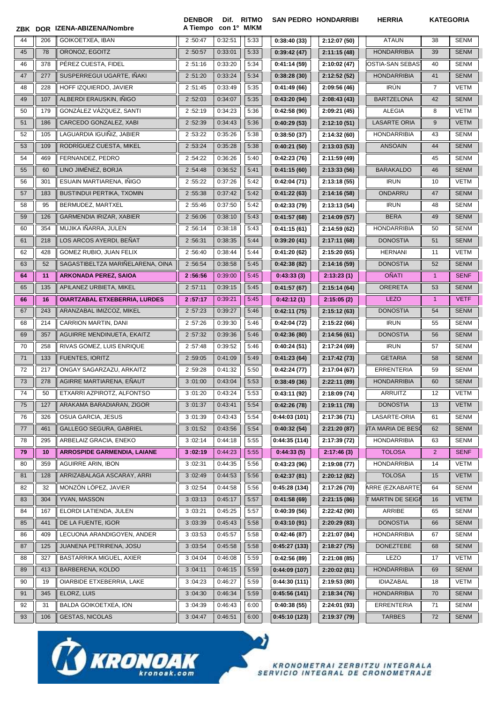| ZBK |     | DOR IZENA-ABIZENA/Nombre             | <b>DENBOR</b><br>A Tiempo con 1º M/KM | Dif.    | <b>RITMO</b> |              | <b>SAN PEDRO HONDARRIBI</b> | <b>HERRIA</b>            |                | <b>KATEGORIA</b> |
|-----|-----|--------------------------------------|---------------------------------------|---------|--------------|--------------|-----------------------------|--------------------------|----------------|------------------|
| 44  | 206 | GOIKOETXEA, IBAN                     | 2:50:47                               | 0:32:51 | 5:33         | 0:38:40(33)  | 2:12:07 (50)                | <b>ATAUN</b>             | 38             | <b>SENM</b>      |
| 45  | 78  | ORONOZ, EGOITZ                       | 2:50:57                               | 0:33:01 | 5:33         | 0:39:42(47)  | 2:11:15 (48)                | <b>HONDARRIBIA</b>       | 39             | <b>SENM</b>      |
| 46  | 378 | PÉREZ CUESTA, FIDEL                  | 2:51:16                               | 0:33:20 | 5:34         | 0:41:14(59)  | 2:10:02 (47)                | <b>IOSTIA-SAN SEBAS</b>  | 40             | <b>SENM</b>      |
| 47  | 277 | SUSPERREGUI UGARTE, IÑAKI            | 2:51:20                               | 0:33:24 | 5:34         | 0:38:28(30)  | 2:12:52 (52)                | <b>HONDARRIBIA</b>       | 41             | <b>SENM</b>      |
| 48  | 228 | HOFF IZQUIERDO, JAVIER               | 2:51:45                               | 0:33:49 | 5:35         | 0:41:49(66)  | 2:09:56 (46)                | <b>IRÚN</b>              | $\overline{7}$ | <b>VETM</b>      |
| 49  | 107 | ALBERDI ERAUSKIN, IÑIGO              | 2:52:03                               | 0:34:07 | 5:35         | 0:43:20(94)  | 2:08:43(43)                 | <b>BARTZELONA</b>        | 42             | <b>SENM</b>      |
| 50  | 179 | GONZÁLEZ VÁZQUEZ. SANTI              | 2:52:19                               | 0:34:23 | 5:36         | 0:42:58(90)  | 2:09:21 (45)                | <b>ALEGIA</b>            | 8              | <b>VETM</b>      |
| 51  | 186 | CARCEDO GONZALEZ, XABI               | 2:52:39                               | 0:34:43 | 5:36         | 0:40:29(53)  | 2:12:10(51)                 | <b>LASARTE ORIA</b>      | 9              | <b>VETM</b>      |
| 52  | 105 | LAGUARDIA IGUIÑIZ, JABIER            | 2:53:22                               | 0:35:26 | 5:38         | 0:38:50(37)  | 2:14:32 (60)                | <b>HONDARRIBIA</b>       | 43             | <b>SENM</b>      |
| 53  | 109 | RODRÍGUEZ CUESTA, MIKEL              | 2:53:24                               | 0:35:28 | 5:38         | 0:40:21(50)  | 2:13:03(53)                 | <b>ANSOAIN</b>           | 44             | <b>SENM</b>      |
| 54  | 469 | FERNANDEZ, PEDRO                     | 2:54:22                               | 0:36:26 | 5:40         | 0:42:23(76)  | 2:11:59 (49)                |                          | 45             | <b>SENM</b>      |
| 55  | 60  | LINO JIMÉNEZ, BORJA                  | 2:54:48                               | 0:36:52 | 5:41         | 0:41:15(60)  | 2:13:33(56)                 | <b>BARAKALDO</b>         | 46             | <b>SENM</b>      |
| 56  | 301 | ESUAIN MARTIARENA, INIGO             | 2:55:22                               | 0:37:26 | 5:42         | 0:42:04(71)  | 2:13:18(55)                 | <b>IRUN</b>              | 10             | <b>VETM</b>      |
| 57  | 183 | BUSTINDUI PERTIKA, TXOMIN            | 2:55:38                               | 0:37:42 | 5:42         | 0:41:22(63)  | 2:14:16 (58)                | ONDARRU                  | 47             | <b>SENM</b>      |
| 58  | 95  | BERMUDEZ, MARTXEL                    | 2:55:46                               | 0:37:50 | 5:42         | 0:42:33(79)  | 2:13:13 (54)                | <b>IRUN</b>              | 48             | <b>SENM</b>      |
| 59  | 126 | GARMENDIA IRIZAR, XABIER             | 2:56:06                               | 0:38:10 | 5:43         | 0:41:57(68)  | 2:14:09(57)                 | <b>BERA</b>              | 49             | <b>SENM</b>      |
| 60  | 354 | MUJIKA IÑARRA. JULEN                 | 2:56:14                               | 0:38:18 | 5:43         | 0:41:15(61)  | 2:14:59 (62)                | <b>HONDARRIBIA</b>       | 50             | <b>SENM</b>      |
| 61  | 218 | LOS ARCOS AYERDI, BEÑAT              | 2:56:31                               | 0:38:35 | 5:44         | 0:39:20(41)  | 2:17:11(68)                 | <b>DONOSTIA</b>          | 51             | <b>SENM</b>      |
| 62  | 428 | GOMEZ RUBIO, JUAN FELIX              | 2:56:40                               | 0:38:44 | 5:44         | 0:41:20(62)  | 2:15:20 (65)                | <b>HERNANI</b>           | 11             | VETM             |
| 63  | 52  | SAGASTIBELTZA MARIÑELARENA, OINA     | 2:56:54                               | 0:38:58 | 5:45         | 0:42:38(82)  | 2:14:16 (59)                | <b>DONOSTIA</b>          | 52             | <b>SENM</b>      |
| 64  | 11  | <b>ARKONADA PEREZ, SAIOA</b>         | 2:56:56                               | 0:39:00 | 5:45         | 0:43:33(3)   | 2:13:23(1)                  | <b>OÑATI</b>             | $\mathbf{1}$   | <b>SENF</b>      |
| 65  | 135 | APILANEZ URBIETA, MIKEL              | 2:57:11                               | 0:39:15 | 5:45         | 0:41:57(67)  | 2:15:14(64)                 | <b>ORERETA</b>           | 53             | <b>SENM</b>      |
| 66  | 16  | <b>OIARTZABAL ETXEBERRIA, LURDES</b> | 2:57:17                               | 0:39:21 | 5:45         | 0:42:12(1)   | 2:15:05(2)                  | <b>LEZO</b>              | $\mathbf{1}$   | <b>VETF</b>      |
| 67  | 243 | ARANZABAL IMIZCOZ, MIKEL             | 2:57:23                               | 0:39:27 | 5:46         | 0:42:11(75)  | 2:15:12(63)                 | <b>DONOSTIA</b>          | 54             | <b>SENM</b>      |
| 68  | 214 | CARRION MARTIN, DANI                 | 2:57:26                               | 0:39:30 | 5:46         | 0:42:04(72)  | 2:15:22(66)                 | <b>IRUN</b>              | 55             | <b>SENM</b>      |
| 69  | 357 | AGUIRRE MENDINUETA, EKAITZ           | 2:57:32                               | 0:39:36 | 5:46         | 0:42:36(80)  | 2:14:56(61)                 | <b>DONOSTIA</b>          | 56             | <b>SENM</b>      |
| 70  | 258 | RIVAS GOMEZ, LUIS ENRIQUE            | 2:57:48                               | 0:39:52 | 5:46         | 0:40:24(51)  | 2:17:24 (69)                | <b>IRUN</b>              | 57             | <b>SENM</b>      |
| 71  | 133 | <b>FUENTES, IORITZ</b>               | 2:59:05                               | 0:41:09 | 5:49         | 0:41:23(64)  | 2:17:42 (73)                | <b>GETARIA</b>           | 58             | <b>SENM</b>      |
| 72  | 217 | ONGAY SAGARZAZU, ARKAITZ             | 2:59:28                               | 0:41:32 | 5:50         | 0:42:24(77)  | 2:17:04 (67)                | <b>ERRENTERIA</b>        | 59             | <b>SENM</b>      |
| 73  | 278 | AGIRRE MARTIARENA, EÑAUT             | 3:01:00                               | 0:43:04 | 5:53         | 0:38:49(36)  | 2:22:11 (89)                | <b>HONDARRIBIA</b>       | 60             | <b>SENM</b>      |
| 74  | 50  | ETXARRI AZPIROTZ, ALFONTSO           | 3:01:20                               | 0:43:24 | 5:53         | 0:43:11 (92) | 2:18:09 (74)                | ARRUITZ                  | 12             | VETM             |
| 75  | 127 | ARAKAMA BARADIARAN, ZIGOR            | 3:01:37                               | 0:43:41 | 5:54         | 0:42:26(78)  | 2:19:11(78)                 | <b>DONOSTIA</b>          | 13             | <b>VETM</b>      |
| 76  | 326 | OSUA GARCIA, JESUS                   | 3:01:39                               | 0:43:43 | 5:54         | 0:44:03(101) | 2:17:36 (71)                | LASARTE-ORIA             | 61             | SENM             |
| 77  | 461 | <b>GALLEGO SEGURA, GABRIEL</b>       | 3:01:52                               | 0:43:56 | 5:54         | 0:40:32(54)  | 2:21:20(87)                 | <b>ITA MARIA DE BESC</b> | 62             | <b>SENM</b>      |
| 78  | 295 | ARBELAIZ GRACIA, ENEKO               | 3:02:14                               | 0:44:18 | 5:55         | 0:44:35(114) | 2:17:39 (72)                | <b>HONDARRIBIA</b>       | 63             | SENM             |
| 79  | 10  | <b>ARROSPIDE GARMENDIA, LAIANE</b>   | 3:02:19                               | 0:44:23 | 5:55         | 0:44:33(5)   | 2:17:46(3)                  | <b>TOLOSA</b>            | $\overline{2}$ | <b>SENF</b>      |
| 80  | 359 | <b>AGUIRRE ARIN. IBON</b>            | 3:02:31                               | 0:44:35 | 5:56         | 0:43:23(96)  | 2:19:08(77)                 | <b>HONDARRIBIA</b>       | 14             | VETM             |
| 81  | 128 | ARRIZABALAGA ASCARAY, ARRI           | 3:02:49                               | 0:44:53 | 5:56         | 0:42:37(81)  | 2:20:12(82)                 | <b>TOLOSA</b>            | 15             | <b>VETM</b>      |
| 82  | 32  | MONZÓN LÓPEZ, JAVIER                 | 3:02:54                               | 0:44:58 | 5:56         | 0:45:28(134) | 2:17:26 (70)                | ARRE (EZKABARTE)         | 64             | SENM             |
| 83  | 304 | YVAN, MASSON                         | 3:03:13                               | 0:45:17 | 5:57         | 0:41:58(69)  | 2:21:15(86)                 | <b>T MARTIN DE SEIGI</b> | 16             | <b>VETM</b>      |
| 84  | 167 | ELORDI LATIENDA, JULEN               | 3:03:21                               | 0:45:25 | 5:57         | 0:40:39(56)  | 2:22:42 (90)                | ARRIBE                   | 65             | SENM             |
| 85  | 441 | DE LA FUENTE, IGOR                   | 3:03:39                               | 0:45:43 | 5:58         | 0:43:10(91)  | 2:20:29(83)                 | <b>DONOSTIA</b>          | 66             | <b>SENM</b>      |
| 86  | 409 | LECUONA ARANDIGOYEN, ANDER           | 3:03:53                               | 0:45:57 | 5:58         | 0:42:46(87)  | 2:21:07 (84)                | <b>HONDARRIBIA</b>       | 67             | SENM             |
| 87  | 125 | JUANENA PETRIRENA, JOSU              | 3:03:54                               | 0:45:58 | 5:58         | 0:45:27(133) | 2:18:27(75)                 | <b>DONEZTEBE</b>         | 68             | <b>SENM</b>      |
| 88  | 327 | BASTARRIKA MIGUEL, AXIER             | 3:04:04                               | 0:46:08 | 5:59         | 0:42:56(89)  | 2:21:08(85)                 | LEZO                     | 17             | VETM             |
| 89  | 413 | BARBERENA, KOLDO                     | 3:04:11                               | 0:46:15 | 5:59         | 0:44:09(107) | 2:20:02(81)                 | <b>HONDARRIBIA</b>       | 69             | <b>SENM</b>      |
| 90  | 19  | OIARBIDE ETXEBERRIA, LAKE            | 3:04:23                               | 0:46:27 | 5:59         | 0:44:30(111) | 2:19:53 (80)                | <b>IDIAZABAL</b>         | 18             | VETM             |
| 91  | 345 | ELORZ, LUIS                          | 3:04:30                               | 0:46:34 | 5:59         | 0:45:56(141) | 2:18:34(76)                 | <b>HONDARRIBIA</b>       | 70             | <b>SENM</b>      |
| 92  | 31  | BALDA GOIKOETXEA, ION                | 3:04:39                               | 0:46:43 | 6:00         | 0:40:38(55)  | 2:24:01 (93)                | ERRENTERIA               | 71             | SENM             |
| 93  | 106 | <b>GESTAS, NICOLAS</b>               | 3:04:47                               | 0:46:51 | 6:00         | 0:45:10(123) | 2:19:37 (79)                | <b>TARBES</b>            | 72             | <b>SENM</b>      |

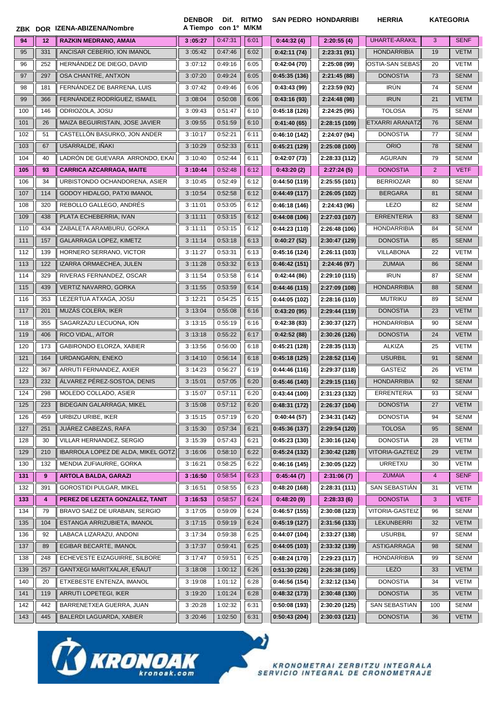|                |     | ZBK DOR IZENA-ABIZENA/Nombre       | <b>DENBOR</b><br>A Tiempo con 1º M/KM | Dif. RITMO |      |              | <b>SAN PEDRO HONDARRIBI</b> | <b>HERRIA</b>          | <b>KATEGORIA</b> |             |
|----------------|-----|------------------------------------|---------------------------------------|------------|------|--------------|-----------------------------|------------------------|------------------|-------------|
| 94             | 12  | <b>RAZKIN MEDRANO, AMAIA</b>       | 3:05:27                               | 0:47:31    | 6:01 | 0:44:32(4)   | 2:20:55(4)                  | <b>UHARTE-ARAKIL</b>   | 3                | <b>SENF</b> |
| 95             | 331 | ANCISAR CEBERIO, ION IMANOL        | 3:05:42                               | 0:47:46    | 6:02 | 0:42:11(74)  | 2:23:31(91)                 | <b>HONDARRIBIA</b>     | 19               | <b>VETM</b> |
| 96             | 252 | HERNÁNDEZ DE DIEGO, DAVID          | 3:07:12                               | 0:49:16    | 6:05 | 0:42:04(70)  | 2:25:08 (99)                | IOSTIA-SAN SEBAS]      | 20               | VETM        |
| 97             | 297 | OSA CHANTRE, ANTXON                | 3:07:20                               | 0:49:24    | 6:05 | 0:45:35(136) | 2:21:45(88)                 | <b>DONOSTIA</b>        | 73               | <b>SENM</b> |
| 98             | 181 | FERNANDEZ DE BARRENA, LUIS         | 3:07:42                               | 0:49:46    | 6:06 | 0:43:43(99)  | 2:23:59 (92)                | <b>IRÚN</b>            | 74               | <b>SENM</b> |
| 99             | 366 | FERNANDEZ RODRÍGUEZ, ISMAEL        | 3:08:04                               | 0:50:08    | 6:06 | 0:43:16(93)  | 2:24:48 (98)                | <b>IRUN</b>            | 21               | <b>VETM</b> |
| 100            | 146 | ODRIOZOLA, JOSU                    | 3:09:43                               | 0:51:47    | 6:10 | 0:45:18(126) | 2:24:25 (95)                | <b>TOLOSA</b>          | 75               | <b>SENM</b> |
| 101            | 26  | MAIZA BEGUIRISTAIN, JOSE JAVIER    | 3:09:55                               | 0:51:59    | 6:10 | 0:41:40(65)  | 2:28:15 (109)               | <b>ETXARRI ARANATZ</b> | 76               | <b>SENM</b> |
| 102            | 51  | CASTELLON BASURKO, JON ANDER       | 3:10:17                               | 0:52:21    | 6:11 | 0:46:10(142) | 2:24:07 (94)                | <b>DONOSTIA</b>        | 77               | <b>SENM</b> |
| 103            | 67  | USARRALDE, IÑAKI                   | 3:10:29                               | 0:52:33    | 6:11 | 0:45:21(129) | 2:25:08 (100)               | <b>ORIO</b>            | 78               | <b>SENM</b> |
| 104            | 40  | LADRÓN DE GUEVARA ARRONDO, EKAI    | 3:10:40                               | 0:52:44    | 6:11 | 0:42:07(73)  | 2:28:33 (112)               | <b>AGURAIN</b>         | 79               | <b>SENM</b> |
| 105            | 93  | <b>CARRICA AZCARRAGA, MAITE</b>    | 3:10:44                               | 0:52:48    | 6:12 | 0:43:20(2)   | 2:27:24(5)                  | <b>DONOSTIA</b>        | $\overline{2}$   | <b>VETF</b> |
| 106            | 34  | URBISTONDO OCHANDORENA, ASIER      | 3:10:45                               | 0:52:49    | 6:12 | 0:44:50(119) | 2:25:55 (101)               | <b>BERRIOZAR</b>       | 80               | <b>SENM</b> |
| 107            | 114 | GODOY HIDALGO, PATXI IMANOL        | 3:10:54                               | 0:52:58    | 6:12 | 0:44:49(117) | 2:26:05 (102)               | <b>BERGARA</b>         | 81               | <b>SENM</b> |
| 108            | 320 | REBOLLO GALLEGO, ANDRÉS            | 3:11:01                               | 0:53:05    | 6:12 | 0:46:18(146) | 2:24:43 (96)                | LEZO                   | 82               | <b>SENM</b> |
| 109            | 438 | PLATA ECHEBERRIA, IVAN             | 3:11:11                               | 0:53:15    | 6:12 | 0:44:08(106) | 2:27:03 (107)               | <b>ERRENTERIA</b>      | 83               | <b>SENM</b> |
| 110            | 434 | ZABALETA ARAMBURU, GORKA           | 3:11:11                               | 0:53:15    | 6:12 | 0:44:23(110) | 2:26:48 (106)               | <b>HONDARRIBIA</b>     | 84               | <b>SENM</b> |
| 111            | 157 | GALARRAGA LOPEZ, KIMETZ            | 3:11:14                               | 0:53:18    | 6:13 | 0:40:27(52)  | 2:30:47 (129)               | <b>DONOSTIA</b>        | 85               | <b>SENM</b> |
| 112            | 139 | HORNERO SERRANO, VICTOR            | 3:11:27                               | 0:53:31    | 6:13 | 0:45:16(124) | 2:26:11 (103)               | <b>VILLABONA</b>       | 22               | VETM        |
| 113            | 122 | IZARRA ORMAECHEA, JULEN            | 3:11:28                               | 0:53:32    | 6:13 | 0:46:42(151) | 2:24:46(97)                 | <b>ZUMAIA</b>          | 86               | <b>SENM</b> |
| 114            | 329 | RIVERAS FERNANDEZ, OSCAR           | 3:11:54                               | 0:53:58    | 6:14 | 0:42:44(86)  | 2:29:10 (115)               | <b>IRUN</b>            | 87               | <b>SENM</b> |
| 115            | 439 | VERTIZ NAVARRO, GORKA              | 3:11:55                               | 0:53:59    | 6:14 | 0:44:46(115) | 2:27:09 (108)               | <b>HONDARRIBIA</b>     | 88               | <b>SENM</b> |
| 116            | 353 | LEZERTUA ATXAGA, JOSU              | 3:12:21                               | 0:54:25    | 6:15 | 0:44:05(102) | 2:28:16 (110)               | <b>MUTRIKU</b>         | 89               | <b>SENM</b> |
| 117            | 201 | MUZÁS COLERA, IKER                 | 3:13:04                               | 0:55:08    | 6:16 | 0:43:20(95)  | 2:29:44 (119)               | <b>DONOSTIA</b>        | 23               | <b>VETM</b> |
| 118            | 355 | SAGARZAZU LECUONA, ION             | 3:13:15                               | 0:55:19    | 6:16 | 0:42:38(83)  | 2:30:37 (127)               | <b>HONDARRIBIA</b>     | 90               | <b>SENM</b> |
| 119            | 406 | RICO VIDAL, AITOR                  | 3:13:18                               | 0:55:22    | 6:17 | 0:42:52(88)  | 2:30:26 (126)               | <b>DONOSTIA</b>        | 24               | <b>VETM</b> |
| 120            | 173 | GABIRONDO ELORZA, XABIER           | 3:13:56                               | 0:56:00    | 6:18 | 0:45:21(128) | 2:28:35 (113)               | <b>ALKIZA</b>          | 25               | <b>VETM</b> |
| 121            | 164 | URDANGARIN, ENEKO                  | 3:14:10                               | 0:56:14    | 6:18 | 0:45:18(125) | 2:28:52 (114)               | <b>USURBIL</b>         | 91               | <b>SENM</b> |
| 122            | 367 | ARRUTI FERNANDEZ, AXIER            | 3:14:23                               | 0:56:27    | 6:19 | 0:44:46(116) | 2:29:37 (118)               | <b>GASTEIZ</b>         | 26               | <b>VETM</b> |
| 123            | 232 | ÁLVAREZ PÉREZ-SOSTOA, DENIS        | 3:15:01                               | 0:57:05    | 6:20 | 0:45:46(140) | 2:29:15 (116)               | <b>HONDARRIBIA</b>     | 92               | <b>SENM</b> |
| $\frac{1}{24}$ | 298 | MOLEDO COLLADO, ASIER              | 3:15:07                               | 0:57:11    | 6:20 | 0:43:44(100) | 2:31:23(132)                | ERRENTERIA             | 93               | <b>SENM</b> |
| 125            | 223 | BIDEGAIN GALARRAGA, MIKEL          | 3:15:08                               | 0:57:12    | 6:20 | 0:48:31(172) | 2:26:37 (104)               | <b>DONOSTIA</b>        | 27               | VETM        |
| 126            | 459 | URBIZU URIBE, IKER                 | 3:15:15                               | 0:57:19    | 6:20 | 0:40:44(57)  | 2:34:31 (142)               | <b>DONOSTIA</b>        | 94               | SENM        |
| 127            | 251 | JUÁREZ CABEZAS, RAFA               | 3:15:30                               | 0:57:34    | 6:21 | 0:45:36(137) | 2:29:54 (120)               | <b>TOLOSA</b>          | 95               | <b>SENM</b> |
| 128            | 30  | VILLAR HERNANDEZ, SERGIO           | 3:15:39                               | 0:57:43    | 6:21 | 0:45:23(130) | 2:30:16 (124)               | <b>DONOSTIA</b>        | 28               | VETM        |
| 129            | 210 | IBARROLA LOPEZ DE ALDA, MIKEL GOTZ | 3:16:06                               | 0:58:10    | 6:22 | 0:45:24(132) | 2:30:42 (128)               | VITORIA-GAZTEIZ        | 29               | <b>VETM</b> |
| 130            | 132 | MENDIA ZUFIAURRE, GORKA            | 3:16:21                               | 0:58:25    | 6:22 | 0:46:16(145) | 2:30:05 (122)               | URRETXU                | 30               | VETM        |
| 131            | 9   | <b>ARTOLA BALDA, GARAZI</b>        | 3:16:50                               | 0:58:54    | 6:23 | 0:45:44(7)   | 2:31:06(7)                  | <b>ZUMAIA</b>          | $\overline{4}$   | <b>SENF</b> |
| 132            | 391 | <b>GOROSTIDI PULGAR, MIKEL</b>     | 3:16:51                               | 0:58:55    | 6:23 | 0:48:20(168) | 2:28:31(111)                | SAN SEBASTIÁN          | 31               | VETM        |
| 133            | 4   | PEREZ DE LEZETA GONZALEZ, TANIT    | 3:16:53                               | 0:58:57    | 6:24 | 0:48:20(9)   | 2:28:33(6)                  | <b>DONOSTIA</b>        | 3                | <b>VETF</b> |
| 134            | 79  | BRAVO SAEZ DE URABAIN, SERGIO      | 3:17:05                               | 0:59:09    | 6:24 | 0:46:57(155) | 2:30:08 (123)               | VITORIA-GASTEIZ        | 96               | <b>SENM</b> |
| 135            | 104 | ESTANGA ARRIZUBIETA, IMANOL        | 3:17:15                               | 0:59:19    | 6:24 | 0:45:19(127) | 2:31:56 (133)               | LEKUNBERRI             | 32               | <b>VETM</b> |
| 136            | 92  | LABACA LIZARAZU, ANDONI            | 3:17:34                               | 0:59:38    | 6:25 | 0:44:07(104) | 2:33:27 (138)               | <b>USURBIL</b>         | 97               | SENM        |
| 137            | 89  | EGIBAR BECARTE, IMANOL             | 3:17:37                               | 0:59:41    | 6:25 | 0:44:05(103) | 2:33:32 (139)               | <b>ASTIGARRAGA</b>     | 98               | <b>SENM</b> |
| 138            | 248 | ECHEVESTE EIZAGUIRRE, SILBORE      | 3:17:47                               | 0:59:51    | 6:25 | 0:48:24(170) | 2:29:23 (117)               | <b>HONDARRIBIA</b>     | 99               | SENM        |
| 139            | 257 | GANTXEGI MARITXALAR, EÑAUT         | 3:18:08                               | 1:00:12    | 6:26 | 0:51:30(226) | 2:26:38(105)                | <b>LEZO</b>            | 33               | <b>VETM</b> |
| 140            | 20  | ETXEBESTE ENTENZA, IMANOL          | 3:19:08                               | 1:01:12    | 6:28 | 0:46:56(154) | 2:32:12 (134)               | <b>DONOSTIA</b>        | 34               | VETM        |
| 141            | 119 | ARRUTI LOPETEGI, IKER              | 3:19:20                               | 1:01:24    | 6:28 | 0:48:32(173) | 2:30:48 (130)               | <b>DONOSTIA</b>        | 35               | VETM        |
| 142            | 442 | BARRENETXEA GUERRA, JUAN           | 3:20:28                               | 1:02:32    | 6:31 | 0:50:08(193) | 2:30:20 (125)               | SAN SEBASTIAN          | 100              | SENM        |
| 143            | 445 | BALERDI LAGUARDA, XABIER           | 3:20:46                               | 1:02:50    | 6:31 | 0:50:43(204) | 2:30:03 (121)               | <b>DONOSTIA</b>        | 36               | <b>VETM</b> |

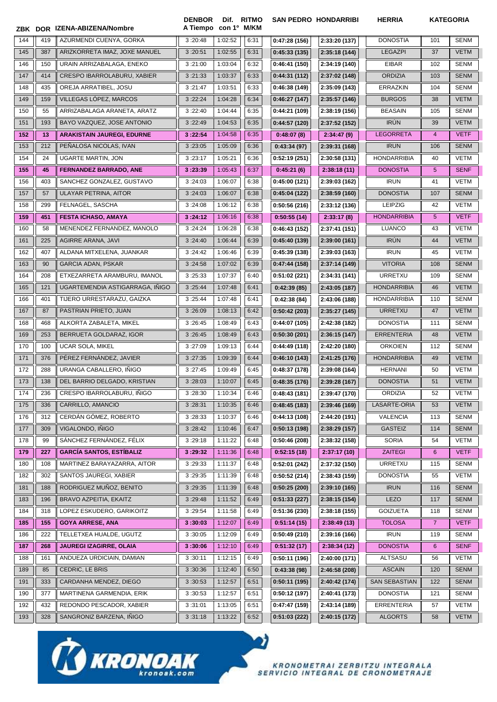|     |     | ZBK DOR IZENA-ABIZENA/Nombre      | <b>DENBOR</b><br>A Tiempo con 1º M/KM | Dif.    | <b>RITMO</b> |              | <b>SAN PEDRO HONDARRIBI</b> | <b>HERRIA</b>        |                | <b>KATEGORIA</b> |
|-----|-----|-----------------------------------|---------------------------------------|---------|--------------|--------------|-----------------------------|----------------------|----------------|------------------|
| 144 | 419 | AZURMENDI CUENYA, GORKA           | 3:20:48                               | 1:02:52 | 6:31         | 0:47:28(156) | 2:33:20 (137)               | <b>DONOSTIA</b>      | 101            | <b>SENM</b>      |
| 145 | 387 | ARIZKORRETA IMAZ, JOXE MANUEL     | 3:20:51                               | 1:02:55 | 6:31         | 0:45:33(135) | 2:35:18 (144)               | <b>LEGAZPI</b>       | 37             | <b>VETM</b>      |
| 146 | 150 | URAIN ARRIZABALAGA, ENEKO         | 3:21:00                               | 1:03:04 | 6:32         | 0:46:41(150) | 2:34:19 (140)               | <b>EIBAR</b>         | 102            | <b>SENM</b>      |
| 147 | 414 | CRESPO IBARROLABURU, XABIER       | 3:21:33                               | 1:03:37 | 6:33         | 0:44:31(112) | 2:37:02 (148)               | <b>ORDIZIA</b>       | 103            | <b>SENM</b>      |
| 148 | 435 | OREJA ARRATIBEL, JOSU             | 3:21:47                               | 1:03:51 | 6:33         | 0:46:38(149) | 2:35:09 (143)               | <b>ERRAZKIN</b>      | 104            | <b>SENM</b>      |
| 149 | 159 | VILLEGAS LÓPEZ, MARCOS            | 3:22:24                               | 1:04:28 | 6:34         | 0:46:27(147) | 2:35:57 (146)               | <b>BURGOS</b>        | 38             | <b>VETM</b>      |
| 150 | 55  | ARRIZABALAGA ARANETA, ARATZ       | 3:22:40                               | 1:04:44 | 6:35         | 0:44:21(109) | 2:38:19 (156)               | <b>BEASAIN</b>       | 105            | <b>SENM</b>      |
| 151 | 193 | BAYO VAZQUEZ, JOSE ANTONIO        | 3:22:49                               | 1:04:53 | 6:35         | 0:44:57(120) | 2:37:52 (152)               | <b>IRÚN</b>          | 39             | <b>VETM</b>      |
| 152 | 13  | <b>ARAKISTAIN JAUREGI, EDURNE</b> | 3:22:54                               | 1:04:58 | 6:35         | 0:48:07(8)   | 2:34:47(9)                  | <b>LEGORRETA</b>     | $\overline{4}$ | <b>VETF</b>      |
| 153 | 212 | PEÑALOSA NICOLAS, IVAN            | 3:23:05                               | 1:05:09 | 6:36         | 0:43:34(97)  | 2:39:31 (168)               | <b>IRUN</b>          | 106            | <b>SENM</b>      |
| 154 | 24  | <b>UGARTE MARTIN, JON</b>         | 3:23:17                               | 1:05:21 | 6:36         | 0:52:19(251) | 2:30:58 (131)               | <b>HONDARRIBIA</b>   | 40             | <b>VETM</b>      |
| 155 | 45  | <b>FERNANDEZ BARRADO, ANE</b>     | 3:23:39                               | 1:05:43 | 6:37         | 0:45:21(6)   | 2:38:18(11)                 | <b>DONOSTIA</b>      | 5              | <b>SENF</b>      |
| 156 | 403 | SANCHEZ GONZALEZ, GUSTAVO         | 3:24:03                               | 1:06:07 | 6:38         | 0:45:00(121) | 2:39:03 (162)               | <b>IRUN</b>          | 41             | <b>VETM</b>      |
| 157 | 57  | ULAYAR PETRINA, AITOR             | 3:24:03                               | 1:06:07 | 6:38         | 0:45:04(122) | 2:38:59 (160)               | <b>DONOSTIA</b>      | 107            | <b>SENM</b>      |
| 158 | 299 | FELNAGEL, SASCHA                  | 3:24:08                               | 1:06:12 | 6:38         | 0:50:56(216) | 2:33:12 (136)               | <b>LEIPZIG</b>       | 42             | <b>VETM</b>      |
| 159 | 451 | <b>FESTA ICHASO, AMAYA</b>        | 3:24:12                               | 1:06:16 | 6:38         | 0:50:55(14)  | 2:33:17(8)                  | <b>HONDARRIBIA</b>   | 5              | <b>VETF</b>      |
| 160 | 58  | MENENDEZ FERNANDEZ, MANOLO        | 3:24:24                               | 1:06:28 | 6:38         | 0:46:43(152) | 2:37:41 (151)               | <b>LUANCO</b>        | 43             | <b>VETM</b>      |
| 161 | 225 | AGIRRE ARANA, JAVI                | 3:24:40                               | 1:06:44 | 6:39         | 0:45:40(139) | 2:39:00(161)                | <b>IRÚN</b>          | 44             | <b>VETM</b>      |
| 162 | 407 | ALDANA MITXELENA, JUANKAR         | 3:24:42                               | 1:06:46 | 6:39         | 0:45:39(138) | 2:39:03 (163)               | <b>IRUN</b>          | 45             | VETM             |
| 163 | 90  | <b>GARCIA ADAN, PSKAR</b>         | 3:24:58                               | 1:07:02 | 6:39         | 0:47:44(158) | 2:37:14 (149)               | <b>VITORIA</b>       | 108            | <b>SENM</b>      |
| 164 | 208 | ETXEZARRETA ARAMBURU, IMANOL      | 3:25:33                               | 1:07:37 | 6:40         | 0:51:02(221) | 2:34:31 (141)               | URRETXU              | 109            | <b>SENM</b>      |
| 165 | 121 | UGARTEMENDIA ASTIGARRAGA, IÑIGO   | 3:25:44                               | 1:07:48 | 6:41         | 0:42:39(85)  | 2:43:05 (187)               | <b>HONDARRIBIA</b>   | 46             | <b>VETM</b>      |
| 166 | 401 | TIJERO URRESTARAZU, GAIZKA        | 3:25:44                               | 1:07:48 | 6:41         | 0:42:38(84)  | 2:43:06 (188)               | <b>HONDARRIBIA</b>   | 110            | <b>SENM</b>      |
| 167 | 87  | PASTRIAN PRIETO, JUAN             | 3:26:09                               | 1:08:13 | 6:42         | 0:50:42(203) | 2:35:27 (145)               | <b>URRETXU</b>       | 47             | <b>VETM</b>      |
| 168 | 468 | ALKORTA ZABALETA, MIKEL           | 3:26:45                               | 1:08:49 | 6:43         | 0:44:07(105) | 2:42:38 (182)               | <b>DONOSTIA</b>      | 111            | <b>SENM</b>      |
| 169 | 253 | BERRUETA GOLDARAZ, IGOR           | 3:26:45                               | 1:08:49 | 6:43         | 0:50:30(201) | 2:36:15 (147)               | <b>ERRENTERIA</b>    | 48             | <b>VETM</b>      |
| 170 | 100 | <b>UCAR SOLA, MIKEL</b>           | 3:27:09                               | 1:09:13 | 6:44         | 0:44:49(118) | 2:42:20 (180)               | <b>ORKOIEN</b>       | 112            | <b>SENM</b>      |
| 171 | 376 | PÉREZ FERNÁNDEZ, JAVIER           | 3:27:35                               | 1:09:39 | 6:44         | 0:46:10(143) | 2:41:25 (176)               | <b>HONDARRIBIA</b>   | 49             | <b>VETM</b>      |
| 172 | 288 | URANGA CABALLERO, INIGO           | 3:27:45                               | 1:09:49 | 6:45         | 0:48:37(178) | 2:39:08 (164)               | <b>HERNANI</b>       | 50             | <b>VETM</b>      |
| 173 | 138 | DEL BARRIO DELGADO, KRISTIAN      | 3:28:03                               | 1:10:07 | 6:45         | 0:48:35(176) | 2:39:28 (167)               | <b>DONOSTIA</b>      | 51             | <b>VETM</b>      |
| 174 | 236 | CRESPO IBARROLABURU, INIGO        | 3:28:30                               | 1:10:34 | 6:46         | 0:48:43(181) | 2:39:47 (170)               | ORDIZIA              | 52             | VETM             |
| 175 | 336 | CARRILLO, AMANCIO                 | 3:28:31                               | 1:10:35 | 6:46         | 0:48:45(183) | 2:39:46 (169)               | LASARTE-ORIA         | 53             | <b>VETM</b>      |
| 176 | 312 | CERDÁN GÓMEZ, ROBERTO             | 3:28:33                               | 1:10:37 | 6:46         | 0:44:13(108) | 2:44:20 (191)               | <b>VALENCIA</b>      | 113            | <b>SENM</b>      |
| 177 | 309 | VIGALONDO, IÑIGO                  | 3:28:42                               | 1:10:46 | 6:47         | 0:50:13(198) | 2:38:29 (157)               | <b>GASTEIZ</b>       | 114            | <b>SENM</b>      |
| 178 | 99  | SÁNCHEZ FERNÁNDEZ, FÉLIX          | 3:29:18                               | 1:11:22 | 6:48         | 0:50:46(208) | 2:38:32 (158)               | <b>SORIA</b>         | 54             | <b>VETM</b>      |
| 179 | 227 | <b>GARCÍA SANTOS, ESTÍBALIZ</b>   | 3:29:32                               | 1:11:36 | 6:48         | 0:52:15(18)  | 2:37:17(10)                 | <b>ZAITEGI</b>       | 6              | <b>VETF</b>      |
| 180 | 108 | MARTINEZ BARAYAZARRA, AITOR       | 3:29:33                               | 1:11:37 | 6:48         | 0:52:01(242) | 2:37:32 (150)               | URRETXU              | 115            | <b>SENM</b>      |
| 182 | 302 | SANTOS JAUREGI, XABIER            | 3:29:35                               | 1:11:39 | 6:48         | 0:50:52(214) | 2:38:43 (159)               | <b>DONOSTIA</b>      | 55             | <b>VETM</b>      |
| 181 | 188 | RODRIGUEZ MUÑOZ, BENITO           | 3:29:35                               | 1:11:39 | 6:48         | 0:50:25(200) | 2:39:10 (165)               | <b>IRUN</b>          | 116            | <b>SENM</b>      |
| 183 | 196 | BRAVO AZPEITIA, EKAITZ            | 3:29:48                               | 1:11:52 | 6:49         | 0:51:33(227) | 2:38:15(154)                | LEZO                 | 117            | <b>SENM</b>      |
| 184 | 318 | LOPEZ ESKUDERO, GARIKOITZ         | 3:29:54                               | 1:11:58 | 6:49         | 0:51:36(230) | 2:38:18 (155)               | <b>GOIZUETA</b>      | 118            | SENM             |
| 185 | 155 | <b>GOYA ARRESE, ANA</b>           | 3:30:03                               | 1:12:07 | 6:49         | 0:51:14(15)  | 2:38:49(13)                 | <b>TOLOSA</b>        | $\overline{7}$ | <b>VETF</b>      |
| 186 | 222 | TELLETXEA HUALDE, UGUTZ           | 3:30:05                               | 1:12:09 | 6:49         | 0:50:49(210) | 2:39:16 (166)               | <b>IRUN</b>          | 119            | <b>SENM</b>      |
| 187 | 268 | JAUREGI IZAGIRRE, OLAIA           | 3:30:06                               | 1:12:10 | 6:49         | 0:51:32(17)  | 2:38:34(12)                 | <b>DONOSTIA</b>      | 6              | <b>SENF</b>      |
| 188 | 161 | ANDUEZA URDICIAIN, DAMIAN         | 3:30:11                               | 1:12:15 | 6:49         | 0:50:11(196) | 2:40:00 (171)               | <b>ALTSASU</b>       | 56             | VETM             |
| 189 | 85  | CEDRIC, LE BRIS                   | 3:30:36                               | 1:12:40 | 6:50         | 0:43:38(98)  | 2:46:58 (208)               | <b>ASCAIN</b>        | 120            | <b>SENM</b>      |
| 191 | 333 | CARDANHA MENDEZ, DIEGO            | 3:30:53                               | 1:12:57 | 6:51         | 0:50:11(195) | 2:40:42 (174)               | <b>SAN SEBASTIAN</b> | 122            | <b>SENM</b>      |
| 190 | 377 | MARTINENA GARMENDIA, ERIK         | 3:30:53                               | 1:12:57 | 6:51         | 0:50:12(197) | 2:40:41 (173)               | <b>DONOSTIA</b>      | 121            | <b>SENM</b>      |
| 192 | 432 | REDONDO PESCADOR, XABIER          | 3:31:01                               | 1:13:05 | 6:51         | 0:47:47(159) | 2:43:14 (189)               | <b>ERRENTERIA</b>    | 57             | <b>VETM</b>      |
| 193 | 328 | SANGRONIZ BARZENA, IÑIGO          | 3:31:18                               | 1:13:22 | 6:52         | 0:51:03(222) | 2:40:15 (172)               | <b>ALGORTS</b>       | 58             | <b>VETM</b>      |

 $\boldsymbol{v}$ 

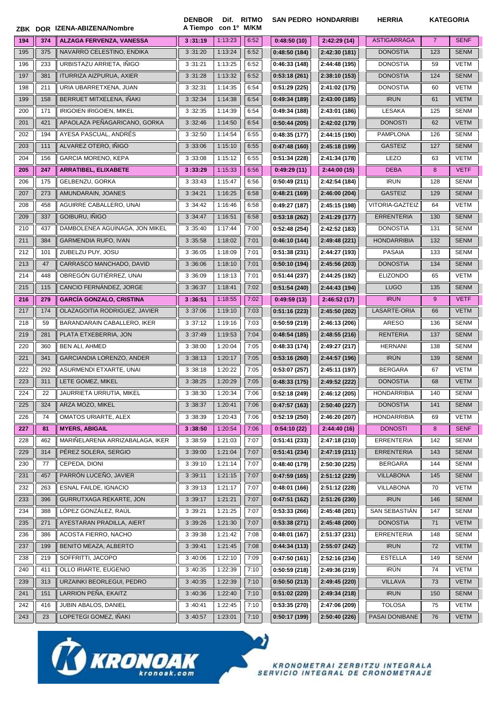|     |     | ZBK DOR IZENA-ABIZENA/Nombre    | <b>DENBOR</b><br>A Tiempo con 1º M/KM | Dif. RITMO         |              |                              | <b>SAN PEDRO HONDARRIBI</b> | <b>HERRIA</b>                       |                | <b>KATEGORIA</b> |
|-----|-----|---------------------------------|---------------------------------------|--------------------|--------------|------------------------------|-----------------------------|-------------------------------------|----------------|------------------|
| 194 | 374 | <b>ALZAGA FERVENZA, VANESSA</b> | 3:31:19                               | 1:13:23            | 6:52         | 0:48:50(10)                  | 2:42:29(14)                 | <b>ASTIGARRAGA</b>                  | $\overline{7}$ | <b>SENF</b>      |
| 195 | 375 | NAVARRO CELESTINO, ENDIKA       | 3:31:20                               | 1:13:24            | 6:52         | 0:48:50(184)                 | 2:42:30 (181)               | <b>DONOSTIA</b>                     | 123            | <b>SENM</b>      |
| 196 | 233 | URBISTAZU ARRIETA, IÑIGO        | 3:31:21                               | 1:13:25            | 6:52         | 0:46:33(148)                 | 2:44:48 (195)               | <b>DONOSTIA</b>                     | 59             | <b>VETM</b>      |
| 197 | 381 | ITURRIZA AIZPURUA, AXIER        | 3:31:28                               | 1:13:32            | 6:52         | 0:53:18(261)                 | 2:38:10 (153)               | <b>DONOSTIA</b>                     | 124            | <b>SENM</b>      |
| 198 | 211 | URIA UBARRETXENA, JUAN          | 3:32:31                               | 1:14:35            | 6:54         | 0:51:29(225)                 | 2:41:02 (175)               | <b>DONOSTIA</b>                     | 60             | <b>VETM</b>      |
| 199 | 158 | BERRUET MITXELENA, IÑAKI        | 3:32:34                               | 1:14:38            | 6:54         | 0:49:34(189)                 | 2:43:00 (185)               | <b>IRUN</b>                         | 61             | <b>VETM</b>      |
| 200 | 171 | IRIGOIEN IRIGOIEN, MIKEL        | 3:32:35                               | 1:14:39            | 6:54         | 0:49:34 (188)                | 2:43:01 (186)               | LESAKA                              | 125            | <b>SENM</b>      |
| 201 | 421 | APAOLAZA PEÑAGARICANO, GORKA    | 3:32:46                               | 1:14:50            | 6:54         | 0:50:44(205)                 | 2:42:02 (179)               | <b>DONOSTI</b>                      | 62             | <b>VETM</b>      |
| 202 | 194 | AYESA PASCUAL, ANDRÉS           | 3:32:50                               | 1:14:54            | 6:55         | 0:48:35(177)                 | 2:44:15 (190)               | <b>PAMPLONA</b>                     | 126            | <b>SENM</b>      |
| 203 | 111 | ALVAREZ OTERO, IÑIGO            | 3:33:06                               | 1:15:10            | 6:55         | 0:47:48(160)                 | 2:45:18 (199)               | <b>GASTEIZ</b>                      | 127            | <b>SENM</b>      |
| 204 | 156 | <b>GARCIA MORENO, KEPA</b>      | 3:33:08                               | 1:15:12            | 6:55         | 0:51:34(228)                 | 2:41:34 (178)               | <b>LEZO</b>                         | 63             | <b>VETM</b>      |
| 205 | 247 | <b>ARRATIBEL, ELIXABETE</b>     | 3:33:29                               | 1:15:33            | 6:56         | 0:49:29(11)                  | 2:44:00(15)                 | <b>DEBA</b>                         | 8              | <b>VETF</b>      |
| 206 | 175 | GELBENZU, GORKA                 | 3:33:43                               | 1:15:47            | 6:56         |                              |                             | <b>IRUN</b>                         | 128            | <b>SENM</b>      |
| 207 | 273 | AMUNDARAIN, JOANES              | 3:34:21                               | 1:16:25            | 6:58         | 0:50:49(211)<br>0:48:21(169) | 2:42:54 (184)               | <b>GASTEIZ</b>                      | 129            | <b>SENM</b>      |
|     | 458 | AGUIRRE CABALLERO, UNAI         |                                       |                    |              |                              | 2:46:00 (204)               |                                     | 64             | <b>VETM</b>      |
| 208 | 337 | GOIBURU, IÑIGO                  | 3:34:42                               | 1:16:46<br>1:16:51 | 6:58<br>6:58 | 0:49:27(187)                 | 2:45:15 (198)               | <b>VITORIA-GAZTEIZ</b>              | 130            | <b>SENM</b>      |
| 209 |     |                                 | 3:34:47                               |                    |              | 0:53:18(262)                 | 2:41:29 (177)               | <b>ERRENTERIA</b>                   |                |                  |
| 210 | 437 | DAMBOLENEA AGUINAGA, JON MIKEL  | 3:35:40                               | 1:17:44            | 7:00         | 0:52:48(254)                 | 2:42:52 (183)               | <b>DONOSTIA</b>                     | 131            | <b>SENM</b>      |
| 211 | 384 | <b>GARMENDIA RUFO, IVAN</b>     | 3:35:58                               | 1:18:02            | 7:01         | 0:46:10(144)                 | 2:49:48 (221)               | <b>HONDARRIBIA</b><br><b>PASAIA</b> | 132            | <b>SENM</b>      |
| 212 | 101 | ZUBELZU PUY, JOSU               | 3:36:05                               | 1:18:09            | 7:01         | 0:51:38(231)                 | 2:44:27 (193)               |                                     | 133            | <b>SENM</b>      |
| 213 | 47  | CARRASCO MANCHADO, DAVID        | 3:36:06                               | 1:18:10            | 7:01         | 0:50:10(194)                 | 2:45:56 (203)               | <b>DONOSTIA</b>                     | 134            | <b>SENM</b>      |
| 214 | 448 | OBREGÓN GUTIÉRREZ, UNAI         | 3:36:09                               | 1:18:13            | 7:01         | 0:51:44(237)                 | 2:44:25 (192)               | <b>ELIZONDO</b>                     | 65             | <b>VETM</b>      |
| 215 | 115 | CANCIO FERNÁNDEZ, JORGE         | 3:36:37                               | 1:18:41            | 7:02         | 0:51:54(240)                 | 2:44:43 (194)               | <b>LUGO</b>                         | 135            | <b>SENM</b>      |
| 216 | 279 | <b>GARCÍA GONZALO, CRISTINA</b> | 3:36:51                               | 1:18:55            | 7:02         | 0:49:59(13)                  | 2:46:52(17)                 | <b>IRUN</b>                         | 9              | <b>VETF</b>      |
| 217 | 174 | OLAZAGOITIA RODRIGUEZ, JAVIER   | 3:37:06                               | 1:19:10            | 7:03         | 0:51:16(223)                 | 2:45:50 (202)               | LASARTE-ORIA                        | 66             | <b>VETM</b>      |
| 218 | 59  | BARANDARAIN CABALLERO, IKER     | 3:37:12                               | 1:19:16            | 7:03         | 0:50:59(219)                 | 2:46:13 (206)               | <b>ARESO</b>                        | 136            | <b>SENM</b>      |
| 219 | 281 | PLATA ETXEBERRIA, JON           | 3:37:49                               | 1:19:53            | 7:04         | 0:48:54(185)                 | 2:48:55 (216)               | <b>RENTERIA</b>                     | 137            | <b>SENM</b>      |
| 220 | 360 | <b>BEN ALI, AHMED</b>           | 3:38:00                               | 1:20:04            | 7:05         | 0:48:33(174)                 | 2:49:27 (217)               | <b>HERNANI</b>                      | 138            | <b>SENM</b>      |
| 221 | 341 | GARCIANDIA LORENZO, ANDER       | 3:38:13                               | 1:20:17            | 7:05         | 0:53:16(260)                 | 2:44:57 (196)               | <b>IRUN</b>                         | 139            | <b>SENM</b>      |
| 222 | 292 | ASURMENDI ETXARTE, UNAI         | 3:38:18                               | 1:20:22            | 7:05         | 0:53:07(257)                 | 2:45:11 (197)               | <b>BERGARA</b>                      | 67             | <b>VETM</b>      |
| 223 | 311 | LETE GOMEZ, MIKEL               | 3:38:25                               | 1:20:29            | 7:05         | 0:48:33(175)                 | 2:49:52 (222)               | <b>DONOSTIA</b>                     | 68             | <b>VETM</b>      |
| 224 | 22  | JAURRIETA URRUTIA, MIKEL        | 3:38:30                               | 1:20:34            | 7:06         | 0:52:18(249)                 | 2:46:12 (205)               | <b>HONDARRIBIA</b>                  | 140            | <b>SENM</b>      |
| 225 | 324 | ARZA MOZO, MIKEL                | 3:38:37                               | 1:20:41            | 7:06         | 0:47:57(163)                 | 2:50:40 (227)               | <b>DONOSTIA</b>                     | 141            | <b>SENM</b>      |
| 226 | 74  | OMATOS URIARTE, ALEX            | 3:38:39                               | 1:20:43            | 7:06         | 0:52:19(250)                 | 2:46:20 (207)               | <b>HONDARRIBIA</b>                  | 69             | <b>VETM</b>      |
| 227 | 81  | <b>MYERS, ABIGAIL</b>           | 3:38:50                               | 1:20:54            | 7:06         | 0:54:10(22)                  | 2:44:40(16)                 | <b>DONOSTI</b>                      | 8              | <b>SENF</b>      |
| 228 | 462 | MARIÑELARENA ARRIZABALAGA, IKER | 3:38:59                               | 1:21:03            | 7:07         | 0:51:41(233)                 | 2:47:18 (210)               | <b>ERRENTERIA</b>                   | 142            | SENM             |
| 229 | 314 | PÉREZ SOLERA, SERGIO            | 3:39:00                               | 1:21:04            | 7:07         | 0:51:41(234)                 | 2:47:19(211)                | <b>ERRENTERIA</b>                   | 143            | <b>SENM</b>      |
| 230 | 77  | CEPEDA, DIONI                   | 3:39:10                               | 1:21:14            | 7:07         | 0:48:40(179)                 | 2:50:30 (225)               | <b>BERGARA</b>                      | 144            | SENM             |
| 231 | 457 | PARRÓN LUCEÑO, JAVIER           | 3:39:11                               | 1:21:15            | 7:07         | 0:47:59(165)                 | 2:51:12(229)                | <b>VILLABONA</b>                    | 145            | <b>SENM</b>      |
| 232 | 263 | <b>ESNAL FAILDE. IGNACIO</b>    | 3:39:13                               | 1:21:17            | 7:07         | 0:48:01(166)                 | 2:51:12 (228)               | VILLABONA                           | 70             | VETM             |
| 233 | 396 | GURRUTXAGA REKARTE, JON         | 3:39:17                               | 1:21:21            | 7:07         | 0:47:51(162)                 | 2:51:26(230)                | <b>IRUN</b>                         | 146            | <b>SENM</b>      |
| 234 | 388 | LÓPEZ GONZÁLEZ, RAÚL            | 3:39:21                               | 1:21:25            | 7:07         | 0:53:33(266)                 | 2:45:48 (201)               | SAN SEBASTIÁN                       | 147            | <b>SENM</b>      |
| 235 | 271 | AYESTARAN PRADILLA, AIERT       | 3:39:26                               | 1:21:30            | 7:07         | 0:53:38(271)                 | 2:45:48 (200)               | <b>DONOSTIA</b>                     | 71             | <b>VETM</b>      |
| 236 | 386 | ACOSTA FIERRO, NACHO            | 3:39:38                               | 1:21:42            | 7:08         | 0:48:01(167)                 | 2:51:37 (231)               | <b>ERRENTERIA</b>                   | 148            | SENM             |
| 237 | 199 | BENITO MEAZA, ALBERTO           | 3:39:41                               | 1:21:45            | 7:08         | 0:44:34(113)                 | 2:55:07 (242)               | <b>IRUN</b>                         | 72             | <b>VETM</b>      |
| 238 | 219 | SOFFRITTI, JACOPO               | 3:40:06                               | 1:22:10            | 7:09         | 0:47:50(161)                 | 2:52:16 (234)               | <b>ESTELLA</b>                      | 149            | <b>SENM</b>      |
| 240 | 411 | OLLO IRIARTE, EUGENIO           | 3:40:35                               | 1:22:39            | 7:10         | 0:50:59(218)                 | 2:49:36 (219)               | <b>IRUN</b>                         | 74             | <b>VETM</b>      |
| 239 | 313 | URZAINKI BEORLEGUI, PEDRO       | 3:40:35                               | 1:22:39            | 7:10         | 0:50:50(213)                 | 2:49:45 (220)               | <b>VILLAVA</b>                      | 73             | <b>VETM</b>      |
| 241 | 151 | LARRION PEÑA, EKAITZ            | 3:40:36                               | 1:22:40            | 7:10         | 0:51:02(220)                 | 2:49:34 (218)               | <b>IRUN</b>                         | 150            | <b>SENM</b>      |
| 242 | 416 | JUBIN ABALOS, DANIEL            | 3:40:41                               | 1:22:45            | 7:10         | 0:53:35(270)                 | 2:47:06 (209)               | <b>TOLOSA</b>                       | 75             | VETM             |
| 243 | 23  | LOPETEGI GOMEZ, IÑAKI           | 3:40:57                               | 1:23:01            | 7:10         | 0:50:17(199)                 | 2:50:40 (226)               | PASAI DONIBANE                      | 76             | <b>VETM</b>      |

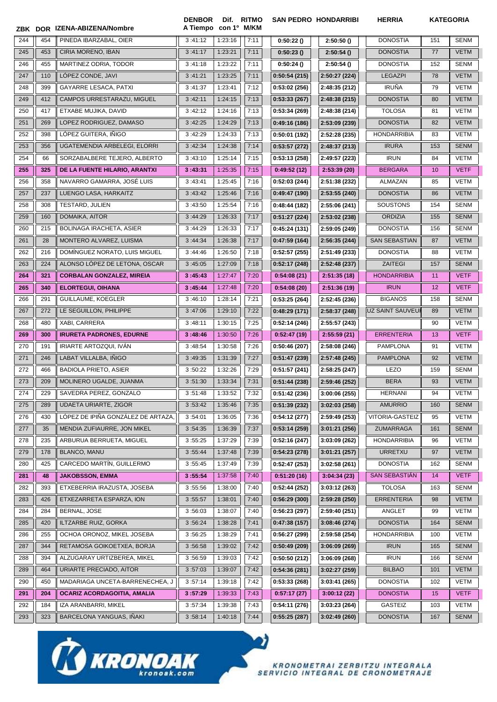|     |     | ZBK DOR IZENA-ABIZENA/Nombre                     | <b>DENBOR</b><br>A Tiempo con 1º M/KM | Dif.               | <b>RITMO</b> |                              | <b>SAN PEDRO HONDARRIBI</b>   | <b>HERRIA</b>                     |            | <b>KATEGORIA</b>           |
|-----|-----|--------------------------------------------------|---------------------------------------|--------------------|--------------|------------------------------|-------------------------------|-----------------------------------|------------|----------------------------|
| 244 | 454 | PINEDA IBARZABAL, OIER                           | 3:41:12                               | 1:23:16            | 7:11         | 0:50:22()                    | 2:50:50()                     | <b>DONOSTIA</b>                   | 151        | <b>SENM</b>                |
| 245 | 453 | CIRIA MORENO, IBAN                               | 3:41:17                               | 1:23:21            | 7:11         | 0:50:23()                    | 2:50:54()                     | <b>DONOSTIA</b>                   | 77         | <b>VETM</b>                |
| 246 | 455 | MARTINEZ ODRIA, TODOR                            | 3:41:18                               | 1:23:22            | 7:11         | 0:50:24()                    | 2:50:54()                     | <b>DONOSTIA</b>                   | 152        | <b>SENM</b>                |
| 247 | 110 | LÓPEZ CONDE, JAVI                                | 3:41:21                               | 1:23:25            | 7:11         | 0:50:54(215)                 | 2:50:27 (224)                 | <b>LEGAZPI</b>                    | 78         | <b>VETM</b>                |
| 248 | 399 | GAYARRE LESACA, PATXI                            | 3:41:37                               | 1:23:41            | 7:12         | 0:53:02(256)                 | 2:48:35 (212)                 | <b>IRUÑA</b>                      | 79         | <b>VETM</b>                |
| 249 | 412 | CAMPOS URRESTARAZU, MIGUEL                       | 3:42:11                               | 1:24:15            | 7:13         | 0:53:33(267)                 | 2:48:38 (215)                 | <b>DONOSTIA</b>                   | 80         | <b>VETM</b>                |
| 250 | 417 | ETXABE MUJIKA, DAVID                             | 3:42:12                               | 1:24:16            | 7:13         | 0:53:34(269)                 | 2:48:38 (214)                 | <b>TOLOSA</b>                     | 81         | <b>VETM</b>                |
| 251 | 269 | LOPEZ RODRIGUEZ, DAMASO                          | 3:42:25                               | 1:24:29            | 7:13         | 0:49:16(186)                 | 2:53:09 (239)                 | <b>DONOSTIA</b>                   | 82         | <b>VETM</b>                |
| 252 | 398 | LÓPEZ GUITERA, IÑIGO                             | 3:42:29                               | 1:24:33            | 7:13         | 0:50:01(192)                 | 2:52:28 (235)                 | <b>HONDARRIBIA</b>                | 83         | <b>VETM</b>                |
| 253 | 356 | UGATEMENDIA ARBELEGI, ELORRI                     | 3:42:34                               | 1:24:38            | 7:14         | 0:53:57(272)                 | 2:48:37 (213)                 | <b>IRURA</b>                      | 153        | <b>SENM</b>                |
| 254 | 66  | SORZABALBERE TEJERO, ALBERTO                     | 3:43:10                               | 1:25:14            | 7:15         | 0:53:13(258)                 | 2:49:57 (223)                 | <b>IRUN</b>                       | 84         | <b>VETM</b>                |
| 255 | 325 | DE LA FUENTE HILARIO, ARANTXI                    | 3:43:31                               | 1:25:35            | 7:15         | 0:49:52(12)                  | 2:53:39(20)                   | <b>BERGARA</b>                    | 10         | <b>VETF</b>                |
| 256 | 358 | NAVARRO GAMARRA, JOSÉ LUIS                       | 3:43:41                               | 1:25:45            | 7:16         | 0:52:03(244)                 | 2:51:38 (232)                 | ALMAZAN                           | 85         | VETM                       |
| 257 | 237 | LUENGO LASA, HARKAITZ                            | 3:43:42                               | 1:25:46            | 7:16         | 0:49:47(190)                 | 2:53:55 (240)                 | <b>DONOSTIA</b>                   | 86         | <b>VETM</b>                |
| 258 | 308 | <b>TESTARD, JULIEN</b>                           | 3:43:50                               | 1:25:54            | 7:16         | 0:48:44 (182)                | 2:55:06 (241)                 | SOUSTONS                          | 154        | <b>SENM</b>                |
| 259 | 160 | DOMAIKA, AITOR                                   | 3:44:29                               | 1:26:33            | 7:17         | 0:51:27(224)                 | 2:53:02 (238)                 | <b>ORDIZIA</b>                    | 155        | <b>SENM</b>                |
| 260 | 215 | <b>BOLINAGA IRACHETA, ASIER</b>                  | 3:44:29                               | 1:26:33            | 7:17         | 0:45:24(131)                 | 2:59:05 (249)                 | <b>DONOSTIA</b>                   | 156        | <b>SENM</b>                |
| 261 | 28  | MONTERO ALVAREZ, LUISMA                          | 3:44:34                               | 1:26:38            | 7:17         | 0:47:59(164)                 | 2:56:35 (244)                 | <b>SAN SEBASTIAN</b>              | 87         | <b>VETM</b>                |
| 262 | 216 | DOMÍNGUEZ NORATO, LUIS MIGUEL                    | 3:44:46                               | 1:26:50            | 7:18         | 0:52:57(255)                 | 2:51:49 (233)                 | <b>DONOSTIA</b>                   | 88         | VETM                       |
| 263 | 224 | ALONSO LÓPEZ DE LETONA, OSCAR                    | 3:45:05                               | 1:27:09            | 7:18         | 0:52:17(248)                 | 2:52:48 (237)                 | <b>ZAITEGI</b>                    | 157        | <b>SENM</b>                |
| 264 | 321 | <b>CORBALAN GONZALEZ, MIREIA</b>                 | 3:45:43                               | 1:27:47            | 7:20         | 0:54:08(21)                  | 2:51:35(18)                   | <b>HONDARRIBIA</b>                | 11         | <b>VETF</b>                |
| 265 | 340 | <b>ELORTEGUI, OIHANA</b>                         | 3:45:44                               | 1:27:48            | 7:20         | 0:54:08(20)                  | 2:51:36(19)                   | <b>IRUN</b>                       | 12         | <b>VETF</b>                |
| 266 | 291 | GUILLAUME, KOEGLER                               | 3:46:10                               | 1:28:14            | 7:21         | 0:53:25(264)                 | 2:52:45 (236)                 | <b>BIGANOS</b>                    | 158        | <b>SENM</b>                |
| 267 | 272 | LE SEGUILLON, PHILIPPE                           | 3:47:06                               | 1:29:10            | 7:22         | 0:48:29(171)                 | 2:58:37 (248)                 | .UZ SAINT SAUVEU <b>I</b>         | 89         | <b>VETM</b>                |
| 268 | 480 | XABI, CARRERA                                    | 3:48:11                               | 1:30:15            | 7:25         | 0:52:14(246)                 | 2:55:57 (243)                 |                                   | 90         | VETM                       |
| 269 | 300 | <b>IRURETA PADRONES, EDURNE</b>                  | 3:48:46                               | 1:30:50            | 7:26         | 0:52:47(19)                  | 2:55:59(21)                   | <b>ERRENTERIA</b>                 | 13         | <b>VETF</b>                |
| 270 | 191 | IRIARTE ARTOZQUI, IVÁN                           | 3:48:54                               | 1:30:58            | 7:26         | 0:50:46(207)                 | 2:58:08 (246)                 | <b>PAMPLONA</b>                   | 91         | <b>VETM</b>                |
| 271 | 246 | LABAT VILLALBA, IÑIGO                            | 3:49:35                               | 1:31:39            | 7:27         | 0:51:47(239)                 | 2:57:48 (245)                 | <b>PAMPLONA</b>                   | 92         | <b>VETM</b>                |
| 272 | 466 | <b>BADIOLA PRIETO, ASIER</b>                     | 3:50:22                               | 1:32:26            | 7:29         | 0:51:57(241)                 | 2:58:25 (247)                 | <b>LEZO</b>                       | 159        | <b>SENM</b>                |
| 273 | 209 | MOLINERO UGALDE, JUANMA                          | 3:51:30                               | 1:33:34            | 7:31         | 0:51:44(238)                 | 2:59:46 (252)                 | <b>BERA</b>                       | 93         | <b>VETM</b>                |
| 274 | 229 | SAVEDRA PEREZ, GONZALO                           | 3:51:48                               | 1:33:52            | 7:32         | 0:51:42(236)                 | 3:00:06(255)                  | <b>HERNANI</b>                    | 94         | VETM                       |
| 275 | 289 | <b>UDAETA URIARTE, ZIGOR</b>                     | 3:53:42                               | 1:35:46            | 7:35         | 0:51:39(232)                 | 3:02:03(258)                  | <b>AMURRIO</b>                    | 160        | <b>SENM</b>                |
| 276 | 430 | LÓPEZ DE IPIÑA GONZÁLEZ DE ARTAZA,               | 3:54:01                               | 1:36:05            | 7:36         | 0:54:12(277)                 | 2:59:49 (253)                 | VITORIA-GASTEIZ                   | 95         | <b>VETM</b>                |
| 277 | 35  | MENDIA ZUFIAURRE, JON MIKEL                      | 3:54:35                               | 1:36:39            | 7:37         | 0:53:14(259)                 | 3:01:21(256)                  | ZUMARRAGA                         | 161        | <b>SENM</b>                |
| 278 | 235 | ARBURUA BERRUETA, MIGUEL                         | 3:55:25                               | 1:37:29            | 7:39         | 0:52:16(247)                 | 3:03:09(262)                  | <b>HONDARRIBIA</b>                | 96         | <b>VETM</b>                |
| 279 | 178 | BLANCO, MANU                                     | 3:55:44                               | 1:37:48            | 7:39         | 0:54:23(278)                 | 3:01:21 (257)                 | <b>URRETXU</b>                    | 97         | <b>VETM</b>                |
| 280 | 425 | CARCEDO MARTÍN, GUILLERMO                        | 3:55:45                               | 1:37:49            | 7:39         | 0:52:47(253)                 | 3:02:58(261)                  | <b>DONOSTIA</b>                   | 162        | <b>SENM</b>                |
| 281 | 48  | <b>JAKOBSSON, EMMA</b>                           | 3:55:54                               | 1:37:58            | 7:40         | 0:51:20(16)                  | 3:04:34(23)                   | <b>SAN SEBASTIAN</b>              | 14         | <b>VETF</b>                |
| 282 | 393 | ETXEBERRIA IRAZUSTA, JOSEBA                      | 3:55:56                               | 1:38:00            | 7:40         | 0:52:44 (252)                | 3:03:12(263)                  | <b>TOLOSA</b>                     | 163        | <b>SENM</b>                |
| 283 | 426 | ETXEZARRETA ESPARZA, ION                         | 3:55:57                               | 1:38:01            | 7:40         | 0:56:29(300)                 | 2:59:28 (250)                 | <b>ERRENTERIA</b>                 | 98         | <b>VETM</b>                |
| 284 | 284 | BERNAL, JOSE                                     | 3:56:03                               | 1:38:07            | 7:40         | 0:56:23(297)                 | 2:59:40 (251)                 | ANGLET                            | 99         | VETM                       |
| 285 | 420 | ILTZARBE RUIZ, GORKA                             | 3:56:24                               | 1:38:28            | 7:41         | 0:47:38(157)                 | 3:08:46(274)                  | <b>DONOSTIA</b>                   | 164        | <b>SENM</b>                |
| 286 | 255 | OCHOA ORONOZ, MIKEL JOSEBA                       | 3:56:25                               | 1:38:29            | 7:41         | 0:56:27(299)                 | 2:59:58 (254)                 | <b>HONDARRIBIA</b>                | 100        | <b>VETM</b>                |
| 287 | 344 | RETAMOSA GOIKOETXEA, BORJA                       | 3:56:58                               | 1:39:02            | 7:42         | 0:50:49(209)                 | 3:06:09(269)                  | <b>IRUN</b>                       | 165        | <b>SENM</b>                |
| 288 | 394 | ALZUGARAY URTIZBEREA, MIKEL                      | 3:56:59                               | 1:39:03            | 7:42         | 0:50:50(212)                 | 3:06:09(268)                  | <b>IRUN</b>                       | 166        | <b>SENM</b>                |
| 289 | 464 | URIARTE PRECIADO, AITOR                          | 3:57:03                               | 1:39:07            | 7:42         | 0:54:36(281)                 | 3:02:27(259)                  | <b>BILBAO</b>                     | 101        | <b>VETM</b>                |
| 290 | 450 | MADARIAGA UNCETA-BARRENECHEA, J                  | 3:57:14                               | 1:39:18            | 7:42         | 0:53:33(268)                 | 3:03:41(265)                  | <b>DONOSTIA</b>                   | 102        | <b>VETM</b>                |
| 291 | 204 | OCARIZ ACORDAGOITIA, AMALIA                      | 3:57:29                               | 1:39:33            | 7:43         | 0:57:17(27)                  | 3:00:12(22)                   | <b>DONOSTIA</b>                   | 15         | <b>VETF</b><br><b>VETM</b> |
| 292 | 184 | IZA ARANBARRI, MIKEL<br>BARCELONA YANGUAS, IÑAKI | 3:57:34<br>3:58:14                    | 1:39:38<br>1:40:18 | 7:43<br>7:44 | 0:54:11(276)<br>0:55:25(287) | 3:03:23(264)<br>3:02:49 (260) | <b>GASTEIZ</b><br><b>DONOSTIA</b> | 103<br>167 | <b>SENM</b>                |
| 293 | 323 |                                                  |                                       |                    |              |                              |                               |                                   |            |                            |



KRONOMETRAI ZERBITZU INTEGRALA<br>SERVICIO INTEGRAL DE CRONOMETRAJE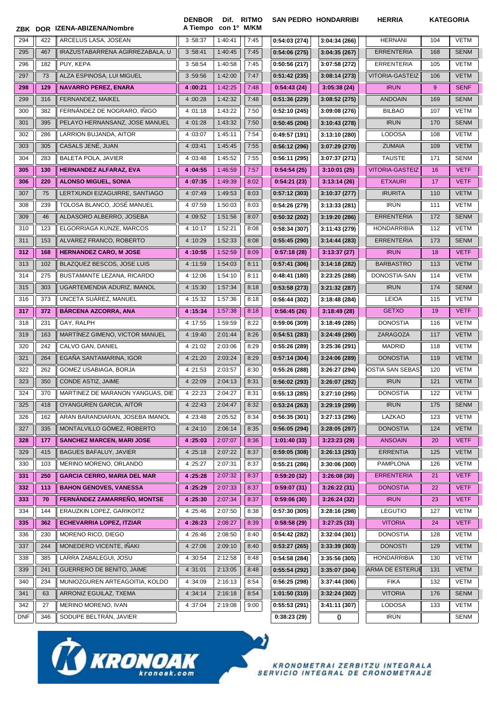|            |     | ZBK DOR IZENA-ABIZENA/Nombre       | <b>DENBOR</b><br>A Tiempo | Dif. RITMO<br>con 1º M/KM |      |               | <b>SAN PEDRO HONDARRIBI</b> | <b>HERRIA</b>           |     | <b>KATEGORIA</b> |
|------------|-----|------------------------------------|---------------------------|---------------------------|------|---------------|-----------------------------|-------------------------|-----|------------------|
| 294        | 422 | ARCELUS LASA. JOSEAN               | 3:58:37                   | 1:40:41                   | 7:45 | 0:54:03(274)  | 3:04:34 (266)               | <b>HERNANI</b>          | 104 | <b>VETM</b>      |
| 295        | 467 | IRAZUSTABARRENA AGIRREZABALA, U    | 3:58:41                   | 1:40:45                   | 7:45 | 0:54:06(275)  | 3:04:35(267)                | <b>ERRENTERIA</b>       | 168 | <b>SENM</b>      |
| 296        | 182 | PUY, KEPA                          | 3:58:54                   | 1:40:58                   | 7:45 | 0:50:56(217)  | 3:07:58 (272)               | <b>ERRENTERIA</b>       | 105 | VETM             |
| 297        | 73  | ALZA ESPINOSA, LUI MIGUEL          | 3:59:56                   | 1:42:00                   | 7:47 | 0:51:42(235)  | 3:08:14(273)                | <b>VITORIA-GASTEIZ</b>  | 106 | VETM             |
| 298        | 129 | <b>NAVARRO PEREZ, ENARA</b>        | 4:00:21                   | 1:42:25                   | 7:48 | 0:54:43(24)   | 3:05:38(24)                 | <b>IRUN</b>             | 9   | <b>SENF</b>      |
| 299        | 316 | FERNANDEZ, MAIKEL                  | 4:00:28                   | 1:42:32                   | 7:48 | 0:51:36(229)  | 3:08:52(275)                | <b>ANDOAIN</b>          | 169 | <b>SENM</b>      |
| 300        | 382 | FERNÁNDEZ DE NOGRARO, IÑIGO        | 4:01:18                   | 1:43:22                   | 7:50 | 0:52:10(245)  | 3:09:08 (276)               | <b>BILBAO</b>           | 107 | <b>VETM</b>      |
| 301        | 395 | PELAYO HERNANSANZ, JOSE MANUEL     | 4:01:28                   | 1:43:32                   | 7:50 | 0:50:45(206)  | 3:10:43(278)                | <b>IRUN</b>             | 170 | <b>SENM</b>      |
| 302        | 286 | LARRION BUJANDA, AITOR             | 4:03:07                   | 1:45:11                   | 7:54 | 0:49:57(191)  | 3:13:10 (280)               | <b>LODOSA</b>           | 108 | <b>VETM</b>      |
| 303        | 305 | CASALS JENÉ, JUAN                  | 4:03:41                   | 1:45:45                   | 7:55 | 0:56:12(296)  | 3:07:29(270)                | <b>ZUMAIA</b>           | 109 | <b>VETM</b>      |
| 304        | 283 | BALETA POLA, JAVIER                | 4:03:48                   | 1:45:52                   | 7:55 | 0:56:11(295)  | 3:07:37 (271)               | <b>TAUSTE</b>           | 171 | <b>SENM</b>      |
| 305        | 130 | HERNANDEZ ALFARAZ, EVA             | 4:04:55                   | 1:46:59                   | 7:57 | 0:54:54(25)   | 3:10:01(25)                 | <b>VITORIA-GASTEIZ</b>  | 16  | <b>VETF</b>      |
| 306        | 220 | <b>ALONSO MIGUEL, SONIA</b>        | 4:07:35                   | 1:49:39                   | 8:02 | 0:54:21(23)   | 3:13:14(26)                 | <b>ETXAURI</b>          | 17  | <b>VETF</b>      |
| 307        | 75  | LERTXUNDI EIZAGUIRRE, SANTIAGO     | 4:07:49                   | 1:49:53                   | 8:03 | 0:57:12(303)  | 3:10:37 (277)               | <b>IRURITA</b>          | 110 | <b>VETM</b>      |
| 308        | 239 | TOLOSA BLANCO. JOSÉ MANUEL         | 4:07:59                   | 1:50:03                   | 8:03 | 0:54:26(279)  | 3:13:33(281)                | <b>IRÚN</b>             | 111 | <b>VETM</b>      |
| 309        | 46  | ALDASORO ALBERRO, JOSEBA           | 4:09:52                   | 1:51:56                   | 8:07 | 0:50:32(202)  | 3:19:20 (286)               | <b>ERRENTERIA</b>       | 172 | <b>SENM</b>      |
| 310        | 123 | ELGORRIAGA KUNZE, MARCOS           | 4:10:17                   | 1:52:21                   | 8:08 | 0:58:34(307)  | 3:11:43 (279)               | <b>HONDARRIBIA</b>      | 112 | <b>VETM</b>      |
| 311        | 153 | ALVAREZ FRANCO, ROBERTO            | 4:10:29                   | 1:52:33                   | 8:08 | 0:55:45(290)  | 3:14:44(283)                | <b>ERRENTERIA</b>       | 173 | <b>SENM</b>      |
| 312        | 168 | <b>HERNANDEZ CARO, M JOSE</b>      | 4:10:55                   | 1:52:59                   | 8:09 | 0:57:18(28)   | 3:13:37(27)                 | <b>IRUN</b>             | 18  | <b>VETF</b>      |
| 313        | 102 | BLAZQUEZ BESCOS, JOSE LUIS         | 4:11:59                   | 1:54:03                   | 8:11 | 0:57:41(306)  | 3:14:18 (282)               | <b>BARBASTRO</b>        | 113 | <b>VETM</b>      |
| 314        | 275 | BUSTAMANTE LEZANA, RICARDO         | 4:12:06                   | 1:54:10                   | 8:11 | 0:48:41(180)  | 3:23:25 (288)               | DONOSTIA-SAN            | 114 | <b>VETM</b>      |
| 315        | 303 | UGARTEMENDIA ADURIZ, IMANOL        | 4:15:30                   | 1:57:34                   | 8:18 | 0:53:58(273)  | 3:21:32(287)                | <b>IRUN</b>             | 174 | <b>SENM</b>      |
| 316        | 373 | UNCETA SUÁREZ, MANUEL              | 4:15:32                   | 1:57:36                   | 8:18 | 0:56:44(302)  | 3:18:48(284)                | <b>LEIOA</b>            | 115 | VETM             |
| 317        | 372 | <b>BÁRCENA AZCORRA, ANA</b>        | 4:15:34                   | 1:57:38                   | 8:18 | 0:56:45(26)   | 3:18:49(28)                 | <b>GETXO</b>            | 19  | <b>VETF</b>      |
| 318        | 231 | GAY, RALPH                         | 4:17:55                   | 1:59:59                   | 8:22 | 0:59:06(309)  | 3:18:49 (285)               | <b>DONOSTIA</b>         | 116 | <b>VETM</b>      |
| 319        | 163 | MARTINEZ GIMENO, VICTOR MANUEL     | 4:19:40                   | 2:01:44                   | 8:26 | 0:54:51(283)  | 3:24:49 (290)               | ZARAGOZA                | 117 | <b>VETM</b>      |
| 320        | 242 | CALVO GAN, DANIEL                  | 4:21:02                   | 2:03:06                   | 8:29 | 0:55:26(289)  | 3:25:36 (291)               | <b>MADRID</b>           | 118 | <b>VETM</b>      |
| 321        | 264 | EGAÑA SANTAMARINA, IGOR            | 4:21:20                   | 2:03:24                   | 8:29 | 0:57:14(304)  | 3:24:06 (289)               | <b>DONOSTIA</b>         | 119 | <b>VETM</b>      |
| 322        | 262 | GOMEZ USABIAGA, BORJA              | 4:21:53                   | 2:03:57                   | 8:30 | 0:55:26(288)  | 3:26:27 (294)               | <b>IOSTIA SAN SEBAS</b> | 120 | VETM             |
| 323        | 350 | CONDE ASTIZ, JAIME                 | 4:22:09                   | 2:04:13                   | 8:31 | 0:56:02(293)  | 3:26:07 (292)               | <b>IRUN</b>             | 121 | <b>VETM</b>      |
| 324        | 370 | MARTINEZ DE MARANON YANGUAS, DIE   | 4:22:23                   | 2:04:27                   | 8:31 | 0:55:13(285)  | 3:27:10 (295)               | <b>DONOSTIA</b>         | 122 | VETM             |
| 325        | 418 | OYANGUREN GARCIA, AITOR            | 4:22:43                   | 2:04:47                   | 8:32 | 0:53:24(263)  | 3:29:19 (299)               | <b>IRUN</b>             | 175 | <b>SENM</b>      |
| 326        | 162 | ARAN BARANDIARAN, JOSEBA IMANOL    | 4:23:48                   | 2:05:52                   | 8:34 | 0:56:35(301)  | 3:27:13 (296)               | LAZKAO                  | 123 | VETM             |
| 327        | 335 | MONTALVILLO GÓMEZ, ROBERTO         | 4:24:10                   | 2:06:14                   | 8:35 | 0:56:05(294)  | 3:28:05(297)                | <b>DONOSTIA</b>         | 124 | <b>VETM</b>      |
| 328        | 177 | <b>SANCHEZ MARCEN, MARI JOSE</b>   | 4:25:03                   | 2:07:07                   | 8:36 | 1:01:40(33)   | 3:23:23(29)                 | <b>ANSOAIN</b>          | 20  | <b>VETF</b>      |
| 329        | 415 | <b>BAGUES BAFALUY, JAVIER</b>      | 4:25:18                   | 2:07:22                   | 8:37 | 0:59:05(308)  | 3:26:13(293)                | <b>ERRENTIA</b>         | 125 | <b>VETM</b>      |
| 330        | 103 | MERINO MORENO, ORLANDO             | 4:25:27                   | 2:07:31                   | 8:37 | 0:55:21(286)  | 3:30:06 (300)               | <b>PAMPLONA</b>         | 126 | VETM             |
| 331        | 250 | <b>GARCIA CERRO, MARIA DEL MAR</b> | 4:25:28                   | 2:07:32                   | 8:37 | 0:59:20(32)   | 3:26:08(30)                 | <b>ERRENTERIA</b>       | 21  | <b>VETF</b>      |
| 332        | 113 | <b>BAHON GENOVES, VANESSA</b>      | 4:25:29                   | 2:07:33                   | 8:37 | 0:59:07(31)   | 3:26:22(31)                 | <b>DONOSTIA</b>         | 22  | <b>VETF</b>      |
| 333        | 70  | FERNÁNDEZ ZAMARREÑO, MONTSE        | 4:25:30                   | 2:07:34                   | 8:37 | 0:59:06(30)   | 3:26:24(32)                 | <b>IRUN</b>             | 23  | <b>VETF</b>      |
| 334        | 144 | ERAUZKIN LOPEZ, GARIKOITZ          | 4:25:46                   | 2:07:50                   | 8:38 | 0:57:30(305)  | 3:28:16 (298)               | <b>LEGUTIO</b>          | 127 | VETM             |
| 335        | 362 | <b>ECHEVARRIA LOPEZ, ITZIAR</b>    | 4:26:23                   | 2:08:27                   | 8:39 | 0:58:58(29)   | 3:27:25(33)                 | <b>VITORIA</b>          | 24  | <b>VETF</b>      |
| 336        | 230 | MORENO RICO, DIEGO                 | 4:26:46                   | 2:08:50                   | 8:40 | 0:54:42(282)  | 3:32:04(301)                | <b>DONOSTIA</b>         | 128 | VETM             |
| 337        | 244 | MONEDERO VICENTE, IÑAKI            | 4:27:06                   | 2:09:10                   | 8:40 | 0:53:27(265)  | 3:33:39(303)                | <b>DONOSTI</b>          | 129 | VETM             |
| 338        | 385 | LARRA ZABALEGUI, JOSU              | 4:30:54                   | 2:12:58                   | 8:48 | 0:54:58(284)  | 3:35:56(305)                | <b>HONDARRIBIA</b>      | 130 | VETM             |
| 339        | 241 | GUERRERO DE BENITO, JAIME          | 4:31:01                   | 2:13:05                   | 8:48 | 0:55:54(292)  | 3:35:07 (304)               | ARMA DE ESTERUE         | 131 | VETM             |
| 340        | 234 | MUNIOZGUREN ARTEAGOITIA, KOLDO     | 4:34:09                   | 2:16:13                   | 8:54 | 0:56:25(298)  | 3:37:44 (306)               | <b>FIKA</b>             | 132 | VETM             |
| 341        | 63  | ARRONIZ EGUILAZ, TXEMA             | 4:34:14                   | 2:16:18                   | 8:54 | 1:01:50 (310) | 3:32:24 (302)               | <b>VITORIA</b>          | 176 | <b>SENM</b>      |
| 342        | 27  | MERINO MORENO, IVAN                | 4:37:04                   | 2:19:08                   | 9:00 | 0:55:53(291)  | 3:41:11 (307)               | <b>LODOSA</b>           | 133 | VETM             |
| <b>DNF</b> | 346 | SODUPE BELTRÁN, JAVIER             |                           |                           |      | 0:38:23(29)   | $\mathbf 0$                 | <b>IRÚN</b>             |     | <b>SENM</b>      |

 $\bullet$